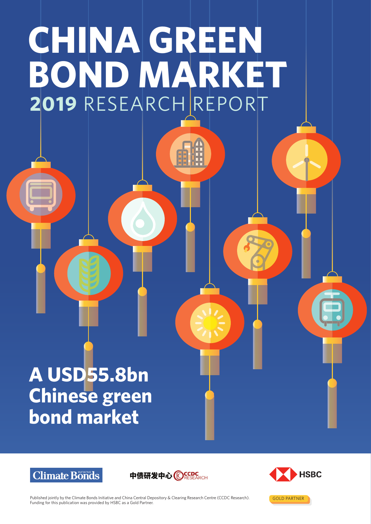# **CHINA GREEN BOND MARKET 2019** RESEARCH REPORT

# **A USD55.8bn Chinese green bond market**







GOLD PARTNER

Published jointly by the Climate Bonds Initiative and China Central Depository & Clearing Research Centre (CCDC Research). Funding for this publication was provided by HSBC as a Gold Partner.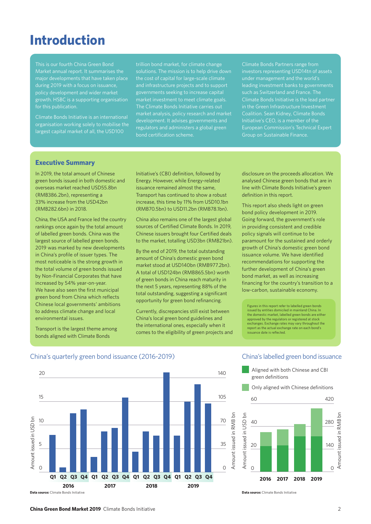## **Introduction**

This is our fourth China Green Bond major developments that have taken place during 2019 with a focus on issuance, policy development and wider market growth. HSBC is a supporting organisation for this publication.

Climate Bonds Initiative is an international organisation working solely to mobilise the largest capital market of all, the USD100

trillion bond market, for climate change the cost of capital for large-scale climate and infrastructure projects and to support governments seeking to increase capital market investment to meet climate goals. The Climate Bonds Initiative carries out market analysis, policy research and market development. It advises governments and regulators and administers a global green bond certification scheme.

Climate Bonds Partners range from investors representing USD14tn of assets under management and the world's leading investment banks to governments Climate Bonds Initiative is the lead partner in the Green Infrastructure Investment Coalition. Sean Kidney, Climate Bonds Initiative's CEO, is a member of the European Commission's Technical Expert Group on Sustainable Finance.

#### **Executive Summary**

In 2019, the total amount of Chinese green bonds issued in both domestic and overseas market reached USD55.8bn (RMB386.2bn), representing a 33% increase from the USD42bn (RMB282.6bn) in 2018.

China, the USA and France led the country rankings once again by the total amount of labelled green bonds. China was the largest source of labelled green bonds. 2019 was marked by new developments in China's profile of issuer types. The most noticeable is the strong growth in the total volume of green bonds issued by Non-Financial Corporates that have increased by 54% year-on-year. We have also seen the first municipal green bond from China which reflects Chinese local governments' ambitions to address climate change and local environmental issues.

Transport is the largest theme among bonds aligned with Climate Bonds

Initiative's (CBI) definition, followed by Energy. However, while Energy-related issuance remained almost the same, Transport has continued to show a robust increase, this time by 11% from USD10.1bn (RMB70.5bn) to USD11.2bn (RMB78.1bn).

China also remains one of the largest global sources of Certified Climate Bonds. In 2019, Chinese issuers brought four Certified deals to the market, totalling USD3bn (RMB21bn).

By the end of 2019, the total outstanding amount of China's domestic green bond market stood at USD140bn (RMB977.2bn). A total of USD124bn (RMB865.5bn) worth of green bonds in China reach maturity in the next 5 years, representing 88% of the total outstanding, suggesting a significant opportunity for green bond refinancing.

Currently, discrepancies still exist between China's local green bond guidelines and the international ones, especially when it comes to the eligibility of green projects and disclosure on the proceeds allocation. We analysed Chinese green bonds that are in line with Climate Bonds Initiative's green definition in this report.

This report also sheds light on green bond policy development in 2019. Going forward, the government's role in providing consistent and credible policy signals will continue to be paramount for the sustained and orderly growth of China's domestic green bond issuance volume. We have identified recommendations for supporting the further development of China's green bond market, as well as increasing financing for the country's transition to a low-carbon, sustainable economy.

Figures in this report refer to labelled green bonds issued by entities domiciled in mainland China. In the domestic market, labelled green bonds are either approved by the regulators or registered at stock exchanges. Exchange rates may vary throughout the report as the actual exchange rate on each bond's issuance date is reflected.



#### China's labelled green bond issuance

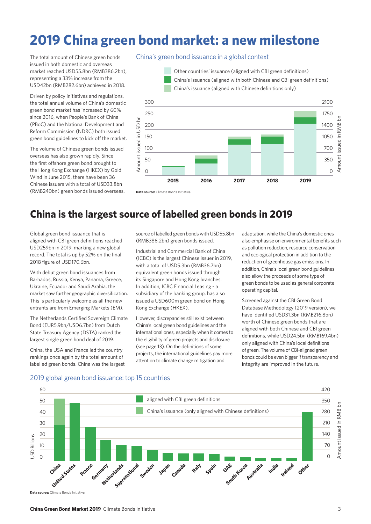# **2019 China green bond market: a new milestone**

The total amount of Chinese green bonds issued in both domestic and overseas market reached USD55.8bn (RMB386.2bn), representing a 33% increase from the USD42bn (RMB282.6bn) achieved in 2018.

Driven by policy initiatives and regulations, the total annual volume of China's domestic green bond market has increased by 60% since 2016, when People's Bank of China (PBoC) and the National Development and Reform Commission (NDRC) both issued green bond guidelines to kick off the market.

The volume of Chinese green bonds issued overseas has also grown rapidly. Since the first offshore green bond brought to the Hong Kong Exchange (HKEX) by Gold Wind in June 2015, there have been 36 Chinese issuers with a total of USD33.8bn (RMB240bn) green bonds issued overseas.

#### China's green bond issuance in a global context





### **China is the largest source of labelled green bonds in 2019**

Global green bond issuance that is aligned with CBI green definitions reached USD259bn in 2019, marking a new global record. The total is up by 52% on the final 2018 figure of USD170.6bn.

With debut green bond issuances from Barbados, Russia, Kenya, Panama, Greece, Ukraine, Ecuador and Saudi Arabia, the market saw further geographic diversification. This is particularly welcome as all the new entrants are from Emerging Markets (EM).

The Netherlands Certified Sovereign Climate Bond (EUR5.9bn/USD6.7bn) from Dutch State Treasury Agency (DSTA) ranked the largest single green bond deal of 2019.

China, the USA and France led the country rankings once again by the total amount of labelled green bonds. China was the largest

2019 global green bond issuance: top 15 countries

source of labelled green bonds with USD55.8bn (RMB386.2bn) green bonds issued.

Industrial and Commercial Bank of China (ICBC) is the largest Chinese issuer in 2019, with a total of USD5.3bn (RMB36.7bn) equivalent green bonds issued through its Singapore and Hong Kong branches. In addition, ICBC Financial Leasing - a subsidiary of the banking group, has also issued a USD600m green bond on Hong Kong Exchange (HKEX).

However, discrepancies still exist between China's local green bond guidelines and the international ones, especially when it comes to the eligibility of green projects and disclosure (see page 13). On the definitions of some projects, the international guidelines pay more attention to climate change mitigation and

adaptation, while the China's domestic ones also emphasise on environmental benefits such as pollution reduction, resource conservation and ecological protection in addition to the reduction of greenhouse gas emissions. In addition, China's local green bond guidelines also allow the proceeds of some type of green bonds to be used as general corporate operating capital.

Screened against the CBI Green Bond Database Methodology (2019 version), we have identified USD31.3bn (RMB216.8bn) worth of Chinese green bonds that are aligned with both Chinese and CBI green definitions, while USD24.5bn (RMB169.4bn) only aligned with China's local definitions of green. The volume of CBI-aligned green bonds could be even bigger if transparency and integrity are improved in the future.

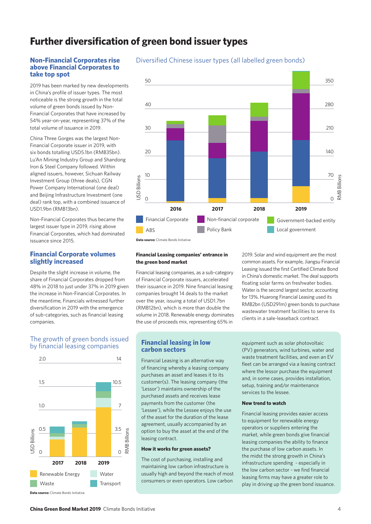### **Further diversification of green bond issuer types**

#### **Non-Financial Corporates rise above Financial Corporates to take top spot**

2019 has been marked by new developments in China's profile of issuer types. The most noticeable is the strong growth in the total volume of green bonds issued by Non-Financial Corporates that have increased by 54% year-on-year, representing 37% of the total volume of issuance in 2019.

China Three Gorges was the largest Non-Financial Corporate issuer in 2019, with six bonds totalling USD5.1bn (RMB35bn). Lu'An Mining Industry Group and Shandong Iron & Steel Company followed. Within aligned issuers, however, Sichuan Railway Investment Group (three deals), CGN Power Company International (one deal) and Beijing Infrastructure Investment (one deal) rank top, with a combined issuance of USD1.9bn (RMB13bn).

Non-Financial Corporates thus became the largest issuer type in 2019, rising above Financial Corporates, which had dominated issuance since 2015.

#### **Financial Corporate volumes slightly increased**

Despite the slight increase in volume, the share of Financial Corporates dropped from 48% in 2018 to just under 37% in 2019 given the increase in Non-Financial Corporates. In the meantime, Financials witnessed further diversification in 2019 with the emergence of sub-categories, such as financial leasing companies.

#### The growth of green bonds issued by financial leasing companies



Diversified Chinese issuer types (all labelled green bonds)



#### **Data source:** Climate Bonds Initiative

#### **Financial Leasing companies' entrance in the green bond market**

Financial leasing companies, as a sub-category of Financial Corporate issuers, accelerated their issuance in 2019. Nine financial leasing companies brought 14 deals to the market over the year, issuing a total of USD1.7bn (RMB12bn), which is more than double the volume in 2018. Renewable energy dominates the use of proceeds mix, representing 65% in

2019. Solar and wind equipment are the most common assets. For example, Jiangsu Financial Leasing issued the first Certified Climate Bond in China's domestic market. The deal supports floating solar farms on freshwater bodies. Water is the second largest sector, accounting for 13%. Huarong Financial Leasing used its RMB2bn (USD291m) green bonds to purchase wastewater treatment facilities to serve its clients in a sale-leaseback contract.

#### **Financial leasing in low carbon sectors**

Financial Leasing is an alternative way of financing whereby a leasing company purchases an asset and leases it to its customer(s). The leasing company (the 'Lessor') maintains ownership of the purchased assets and receives lease payments from the customer (the 'Lessee'), while the Lessee enjoys the use of the asset for the duration of the lease agreement, usually accompanied by an option to buy the asset at the end of the leasing contract.

#### **How it works for green assets?**

The cost of purchasing, installing and maintaining low carbon infrastructure is usually high and beyond the reach of most consumers or even operators. Low carbon

equipment such as solar photovoltaic (PV) generators, wind turbines, water and waste treatment facilities, and even an EV fleet can be arranged via a leasing contract where the lessor purchase the equipment and, in some cases, provides installation, setup, training and/or maintenance services to the lessee.

#### **New trend to watch**

Financial leasing provides easier access to equipment for renewable energy operators or suppliers entering the market, while green bonds give financial leasing companies the ability to finance the purchase of low carbon assets. In the midst the strong growth in China's infrastructure spending - especially in the low carbon sector - we find financial leasing firms may have a greater role to play in driving up the green bond issuance.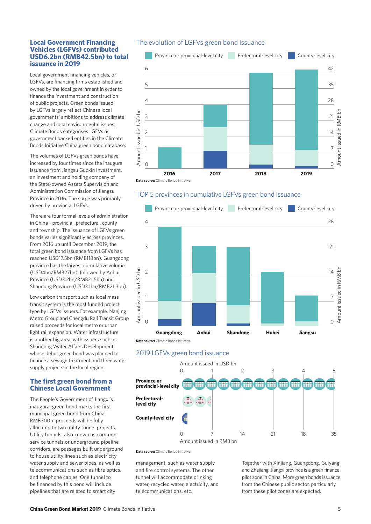#### **Local Government Financing Vehicles (LGFVs) contributed USD6.2bn (RMB42.5bn) to total issuance in 2019**

Local government financing vehicles, or LGFVs, are financing firms established and owned by the local government in order to finance the investment and construction of public projects. Green bonds issued by LGFVs largely reflect Chinese local governments' ambitions to address climate change and local environmental issues. Climate Bonds categorises LGFVs as government backed entities in the Climate Bonds Initiative China green bond database.

The volumes of LGFVs green bonds have increased by four times since the inaugural issuance from Jiangsu Guoxin Investment, an investment and holding company of the State-owned Assets Supervision and Administration Commission of Jiangsu Province in 2016. The surge was primarily driven by provincial LGFVs.

There are four formal levels of administration in China - provincial, prefectural, county and township. The issuance of LGFVs green bonds varies significantly across provinces. From 2016 up until December 2019, the total green bond issuance from LGFVs has reached USD17.5bn (RMB118bn). Guangdong province has the largest cumulative volume (USD4bn/RMB27bn), followed by Anhui Province (USD3.2bn/RMB21.5bn) and Shandong Province (USD3.1bn/RMB21.3bn).

Low carbon transport such as local mass transit system is the most funded project type by LGFVs issuers. For example, Nanjing Metro Group and Chengdu Rail Transit Group raised proceeds for local metro or urban light rail expansion. Water infrastructure is another big area, with issuers such as Shandong Water Affairs Development, whose debut green bond was planned to finance a sewage treatment and three water supply projects in the local region.

#### **The first green bond from a Chinese Local Government**

The People's Government of Jiangxi's inaugural green bond marks the first municipal green bond from China. RMB300m proceeds will be fully allocated to two utility tunnel projects. Utility tunnels, also known as common service tunnels or underground pipeline corridors, are passages built underground to house utility lines such as electricity, water supply and sewer pipes, as well as telecommunications such as fibre optics, and telephone cables. One tunnel to be financed by this bond will include pipelines that are related to smart city

#### The evolution of LGFVs green bond issuance



#### TOP 5 provinces in cumulative LGFVs green bond issuance







**Data source:** Climate Bonds Initiative

management, such as water supply and fire control systems. The other tunnel will accommodate drinking water, recycled water, electricity, and telecommunications, etc.

Together with Xinjiang, Guangdong, Guiyang and Zheijang, Jiangxi province is a green finance pilot zone in China. More green bonds issuance from the Chinese public sector, particularly from these pilot zones are expected.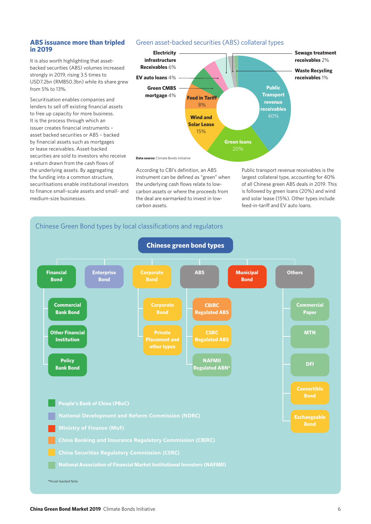# **in 2019**

It is also worth highlighting that assetbacked securities (ABS) volumes increased strongly in 2019, rising 3.5 times to USD7.2bn (RMB50.3bn) while its share grew from 5% to 13%.

Securitisation enables companies and lenders to sell off existing financial assets to free up capacity for more business. It is the process through which an issuer creates financial instruments – asset backed securities or ABS – backed by financial assets such as mortgages or lease receivables. Asset-backed securities are sold to investors who receive a return drawn from the cash flows of the underlying assets. By aggregating the funding into a common structure, securitisations enable institutional investors to finance small-scale assets and small- and medium-size businesses.

#### **ABS issuance more than tripled** Green asset-backed securities (ABS) collateral types



**Data source:** Climate Bonds Initiative

According to CBI's definition, an ABS instrument can be defined as "green" when the underlying cash flows relate to lowcarbon assets or where the proceeds from the deal are earmarked to invest in lowcarbon assets.

Public transport revenue receivables is the largest collateral type, accounting for 40% of all Chinese green ABS deals in 2019. This is followed by green loans (20%) and wind and solar lease (15%). Other types include feed-in-tariff and EV auto loans.



#### **China Green Bond Market 2019** Climate Bonds Initiative 6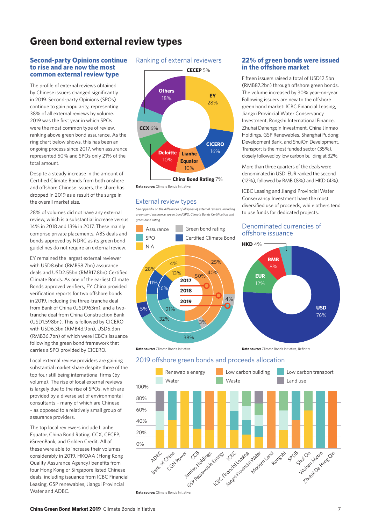### **Green bond external review types**

#### **Second-party Opinions continue to rise and are now the most common external review type**

The profile of external reviews obtained by Chinese issuers changed significantly in 2019. Second-party Opinions (SPOs) continue to gain popularity, representing 38% of all external reviews by volume. 2019 was the first year in which SPOs were the most common type of review, ranking above green bond assurance. As the ring chart below shows, this has been an ongoing process since 2017, when assurance represented 50% and SPOs only 21% of the total amount.

Despite a steady increase in the amount of Certified Climate Bonds from both onshore and offshore Chinese issuers, the share has dropped in 2019 as a result of the surge in the overall market size.

28% of volumes did not have any external review, which is a substantial increase versus 14% in 2018 and 13% in 2017. These mainly comprise private placements, ABS deals and bonds approved by NDRC as its green bond guidelines do not require an external review.

EY remained the largest external reviewer with USD8.6bn (RMB58.7bn) assurance deals and USD2.55bn (RMB17.8bn) Certified Climate Bonds. As one of the earliest Climate Bonds approved verifiers, EY China provided verification reports for two offshore bonds in 2019, including the three-tranche deal from Bank of China (USD963m), and a twotranche deal from China Construction Bank (USD1.598bn). This is followed by CICERO with USD6.3bn (RMB43.9bn), USD5.3bn (RMB36.7bn) of which were ICBC's issuance following the green bond framework that carries a SPO provided by CICERO.

Local external review providers are gaining substantial market share despite three of the top four still being international firms (by volume). The rise of local external reviews is largely due to the rise of SPOs, which are provided by a diverse set of environmental consultants – many of which are Chinese – as opposed to a relatively small group of assurance providers.

The top local reviewers include Lianhe Equator, China Bond Rating, CCX, CECEP, iGreenBank, and Golden Credit. All of these were able to increase their volumes considerably in 2019. HKQAA (Hong Kong Quality Assurance Agency) benefits from four Hong Kong or Singapore listed Chinese deals, including issuance from ICBC Financial Leasing, GSP renewables, Jiangxi Provincial Water and ADBC.

#### Ranking of external reviewers



**Data source:** Climate Bonds Initiative

#### External review types

*See appendix on the differences of all types of external reviews, including green bond assurance, green bond SPO, Climate Bonds Certification and green bond rating.*



#### **22% of green bonds were issued in the offshore market**

Fifteen issuers raised a total of USD12.5bn (RMB87.2bn) through offshore green bonds. The volume increased by 30% year-on-year. Following issuers are new to the offshore green bond market: ICBC Financial Leasing, Jiangxi Provincial Water Conservancy Investment, Rongshi International Finance, Zhuhai Dahengqin Investment, China Jinmao Holdings, GSP Renewables, Shanghai Pudong Development Bank, and ShuiOn Development. Transport is the most funded sector (35%), closely followed by low carbon building at 32%.

More than three quarters of the deals were denominated in USD. EUR ranked the second (12%), followed by RMB (8%) and HKD (4%).

ICBC Leasing and Jiangxi Provincial Water Conservancy Investment have the most diversified use of proceeds, while others tend to use funds for dedicated projects.

#### Denominated currencies of offshore issuance



**Data source:** Climate Bonds Initiative **Data source:** Climate Bonds Initiative, Refinitive



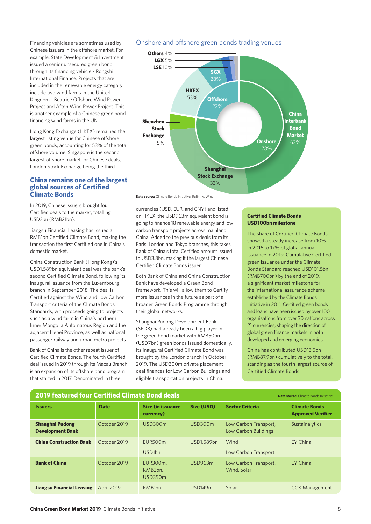Chinese issuers in the offshore market. For example, State Development & Investment issued a senior unsecured green bond through its financing vehicle - Rongshi International Finance. Projects that are included in the renewable energy category include two wind farms in the United Kingdom - Beatrice Offshore Wind Power Project and Afton Wind Power Project. This is another example of a Chinese green bond financing wind farms in the UK.

Hong Kong Exchange (HKEX) remained the largest listing venue for Chinese offshore green bonds, accounting for 53% of the total offshore volume. Singapore is the second largest offshore market for Chinese deals, London Stock Exchange being the third.

#### **China remains one of the largest global sources of Certified Climate Bonds**

In 2019, Chinese issuers brought four Certified deals to the market, totalling USD3bn (RMB21bn).

Jiangsu Financial Leasing has issued a RMB1bn Certified Climate Bond, making the transaction the first Certified one in China's domestic market.

China Construction Bank (Hong Kong)'s USD1.589bn equivalent deal was the bank's second Certified Climate Bond, following its inaugural issuance from the Luxembourg branch in September 2018. The deal is Certified against the Wind and Low Carbon Transport criteria of the Climate Bonds Standards, with proceeds going to projects such as a wind farm in China's northern Inner Mongolia Automatous Region and the adjacent Hebei Province, as well as national passenger railway and urban metro projects.

Bank of China is the other repeat issuer of Certified Climate Bonds. The fourth Certified deal issued in 2019 through its Macau Branch is an expansion of its offshore bond program that started in 2017. Denominated in three

#### Financing vehicles are sometimes used by Onshore and offshore green bonds trading venues



Data source: Climate Bonds Initiative, Refinitiv, Wind

currencies (USD, EUR, and CNY) and listed on HKEX, the USD963m equivalent bond is going to finance 18 renewable energy and low carbon transport projects across mainland China. Added to the previous deals from its Paris, London and Tokyo branches, this takes Bank of China's total Certified amount issued to USD3.8bn, making it the largest Chinese Certified Climate Bonds issuer.

Both Bank of China and China Construction Bank have developed a Green Bond Framework. This will allow them to Certify more issuances in the future as part of a broader Green Bonds Programme through their global networks.

Shanghai Pudong Development Bank (SPDB) had already been a big player in the green bond market with RMB50bn (USD7bn) green bonds issued domestically. Its inaugural Certified Climate Bond was brought by the London branch in October 2019. The USD300m private placement deal finances for Low Carbon Buildings and eligible transportation projects in China.

#### **Certified Climate Bonds USD100bn milestone**

The share of Certified Climate Bonds showed a steady increase from 10% in 2016 to 17% of global annual issuance in 2019. Cumulative Certified green issuance under the Climate Bonds Standard reached USD101.5bn (RMB700bn) by the end of 2019, a significant market milestone for the international assurance scheme established by the Climate Bonds Initiative in 2011. Certified green bonds and loans have been issued by over 100 organisations from over 30 nations across 21 currencies, shaping the direction of global green finance markets in both developed and emerging economies.

China has contributed USD13.5bn (RMB87.9bn) cumulatively to the total, standing as the fourth largest source of Certified Climate Bonds.

| <b>2019 featured four Certified Climate Bond deals</b><br><b>Data source:</b> Climate Bonds Initiative |                   |                                        |                   |                                               |                                                  |
|--------------------------------------------------------------------------------------------------------|-------------------|----------------------------------------|-------------------|-----------------------------------------------|--------------------------------------------------|
| <b>Issuers</b>                                                                                         | <b>Date</b>       | <b>Size (in issuance)</b><br>currency) | <b>Size (USD)</b> | <b>Sector Criteria</b>                        | <b>Climate Bonds</b><br><b>Approved Verifier</b> |
| <b>Shanghai Pudong</b><br><b>Development Bank</b>                                                      | October 2019      | USD300m                                | USD300m           | Low Carbon Transport,<br>Low Carbon Buildings | Sustainalytics                                   |
| <b>China Construction Bank</b>                                                                         | October 2019      | EUR500m                                | USD1.589bn        | Wind                                          | EY China                                         |
|                                                                                                        |                   | USD <sub>1bn</sub>                     |                   | Low Carbon Transport                          |                                                  |
| <b>Bank of China</b>                                                                                   | October 2019      | EUR300m,<br>RMB2bn.<br><b>USD350m</b>  | USD963m           | Low Carbon Transport,<br>Wind, Solar          | <b>EY China</b>                                  |
| <b>Jiangsu Financial Leasing</b>                                                                       | <b>April 2019</b> | RMB <sub>1</sub> bn                    | <b>USD149m</b>    | Solar                                         | <b>CCX Management</b>                            |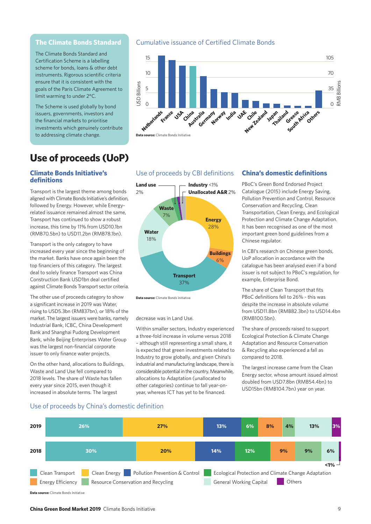#### **The Climate Bonds Standard**

The Climate Bonds Standard and Certification Scheme is a labelling scheme for bonds, loans & other debt instruments. Rigorous scientific criteria ensure that it is consistent with the goals of the Paris Climate Agreement to limit warming to under 2°C.

The Scheme is used globally by bond issuers, governments, investors and the financial markets to prioritise investments which genuinely contribute to addressing climate change.

### **Use of proceeds (UoP)**

#### **Climate Bonds Initiative's definitions**

Transport is the largest theme among bonds aligned with Climate Bonds Initiative's definition, followed by Energy. However, while Energyrelated issuance remained almost the same, Transport has continued to show a robust increase, this time by 11% from USD10.1bn (RMB70.5bn) to USD11.2bn (RMB78.1bn).

Transport is the only category to have increased every year since the beginning of the market. Banks have once again been the top financiers of this category. The largest deal to solely finance Transport was China Construction Bank USD1bn deal certified against Climate Bonds Transport sector criteria.

The other use of proceeds category to show a significant increase in 2019 was Water, rising to USD5.3bn (RMB37bn), or 18% of the market. The largest issuers were banks, namely Industrial Bank, ICBC, China Development Bank and Shanghai Pudong Development Bank, while Beijing Enterprises Water Group was the largest non-financial corporate issuer to only finance water projects.

On the other hand, allocations to Buildings, Waste and Land Use fell compared to 2018 levels. The share of Waste has fallen every year since 2015, even though it increased in absolute terms. The largest

#### Cumulative issuance of Certified Climate Bonds



#### Use of proceeds by CBI definitions



**Data source:** Climate Bonds Initiative

decrease was in Land Use.

Within smaller sectors, Industry experienced a three-fold increase in volume versus 2018 – although still representing a small share, it is expected that green investments related to Industry to grow globally, and given China's industrial and manufacturing landscape, there is considerable potential in the country. Meanwhile, allocations to Adaptation (unallocated to other categories) continue to fall year-onyear, whereas ICT has yet to be financed.

#### **China's domestic definitions**

PBoC's Green Bond Endorsed Project Catalogue (2015) include Energy Saving, Pollution Prevention and Control, Resource Conservation and Recycling, Clean Transportation, Clean Energy, and Ecological Protection and Climate Change Adaptation. It has been recognised as one of the most important green bond guidelines from a Chinese regulator.

In CBI's research on Chinese green bonds, UoP allocation in accordance with the catalogue has been analysed even if a bond issuer is not subject to PBoC's regulation, for example, Enterprise Bond.

The share of Clean Transport that fits PBoC definitions fell to 26% - this was despite the increase in absolute volume from USD11.8bn (RMB82.3bn) to USD14.4bn (RMB100.5bn).

The share of proceeds raised to support Ecological Protection & Climate Change Adaptation and Resource Conservation & Recycling also experienced a fall as compared to 2018.

The largest increase came from the Clean Energy sector, whose amount issued almost doubled from USD7.8bn (RMB54.4bn) to USD15bn (RMB104.7bn) year on year.

#### Use of proceeds by China's domestic definition

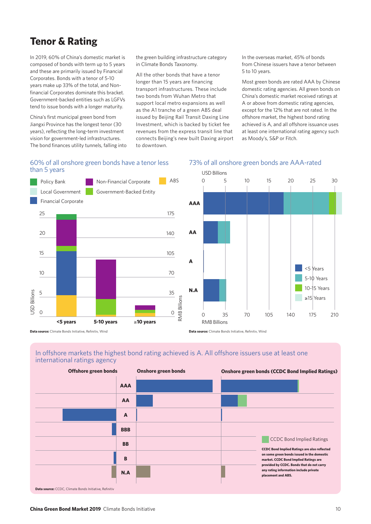### **Tenor & Rating**

In 2019, 60% of China's domestic market is composed of bonds with term up to 5 years and these are primarily issued by Financial Corporates. Bonds with a tenor of 5-10 years make up 33% of the total, and Nonfinancial Corporates dominate this bracket. Government-backed entities such as LGFVs tend to issue bonds with a longer maturity.

China's first municipal green bond from Jiangxi Province has the longest tenor (30 years), reflecting the long-term investment vision for government-led infrastructures. The bond finances utility tunnels, falling into

the green building infrastructure category in Climate Bonds Taxonomy.

All the other bonds that have a tenor longer than 15 years are financing transport infrastructures. These include two bonds from Wuhan Metro that support local metro expansions as well as the A1 tranche of a green ABS deal issued by Beijing Rail Transit Daxing Line Investment, which is backed by ticket fee revenues from the express transit line that connects Beijing's new built Daxing airport In the overseas market, 45% of bonds from Chinese issuers have a tenor between 5 to 10 years.

Most green bonds are rated AAA by Chinese domestic rating agencies. All green bonds on China's domestic market received ratings at A or above from domestic rating agencies, except for the 12% that are not rated. In the offshore market, the highest bond rating achieved is A, and all offshore issuance uses at least one international rating agency such as Moody's, S&P or Fitch.

#### 60% of all onshore green bonds have a tenor less than 5 years





73% of all onshore green bonds are AAA-rated

#### In offshore markets the highest bond rating achieved is A. All offshore issuers use at least one international ratings agency

| <b>Offshore green bonds</b> |              | <b>Onshore green bonds</b> |  | <b>Onshore green bonds (CCDC Bond Implied Ratings)</b>                                                                                                                                                                                                                                      |  |
|-----------------------------|--------------|----------------------------|--|---------------------------------------------------------------------------------------------------------------------------------------------------------------------------------------------------------------------------------------------------------------------------------------------|--|
|                             | <b>AAA</b>   |                            |  |                                                                                                                                                                                                                                                                                             |  |
|                             | AA           |                            |  |                                                                                                                                                                                                                                                                                             |  |
|                             | $\mathbf{A}$ |                            |  |                                                                                                                                                                                                                                                                                             |  |
|                             | <b>BBB</b>   |                            |  |                                                                                                                                                                                                                                                                                             |  |
|                             | <b>BB</b>    |                            |  | <b>CCDC Bond Implied Ratings</b><br><b>CCDC Bond Implied Ratings are also reflected</b><br>on some green bonds issued in the domestic<br>market. CCDC Bond Implied Ratings are<br>provided by CCDC. Bonds that do not carry<br>any rating information include private<br>placement and ABS. |  |
|                             | B            |                            |  |                                                                                                                                                                                                                                                                                             |  |
|                             | N.A          |                            |  |                                                                                                                                                                                                                                                                                             |  |
|                             |              |                            |  |                                                                                                                                                                                                                                                                                             |  |

**Data source:** CCDC, Climate Bonds Initiative, Refinitiv

# to downtown.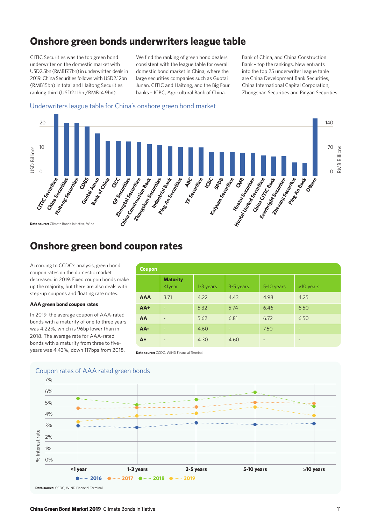### **Onshore green bonds underwriters league table**

CITIC Securities was the top green bond underwriter on the domestic market with USD2.5bn (RMB17.7bn) in underwritten deals in 2019. China Securities follows with USD2.12bn (RMB15bn) in total and Haitong Securities ranking third (USD2.11bn /RMB14.9bn).

We find the ranking of green bond dealers consistent with the league table for overall domestic bond market in China, where the large securities companies such as Guotai Junan, CITIC and Haitong, and the Big Four banks – ICBC, Agricultural Bank of China,

Bank of China, and China Construction Bank – top the rankings. New entrants into the top 25 underwriter league table are China Development Bank Securities, China International Capital Corporation, Zhongshan Securities and Pingan Securities.

#### Underwriters league table for China's onshore green bond market



### **Onshore green bond coupon rates**

According to CCDC's analysis, green bond coupon rates on the domestic market decreased in 2019. Fixed coupon bonds make up the majority, but there are also deals with step-up coupons and floating rate notes.

#### **AAA green bond coupon rates**

In 2019, the average coupon of AAA-rated bonds with a maturity of one to three years was 4.22%, which is 96bp lower than in 2018. The average rate for AAA-rated bonds with a maturity from three to fiveyears was 4.43%, down 117bps from 2018.

| <b>Coupon</b> |                              |           |                          |                          |                              |
|---------------|------------------------------|-----------|--------------------------|--------------------------|------------------------------|
|               | <b>Maturity</b><br>$1year$   | 1-3 years | 3-5 years                | 5-10 years               | $\geq 10$ years              |
| <b>AAA</b>    | 3.71                         | 4.22      | 4.43                     | 4.98                     | 4.25                         |
| $AA+$         | $\overline{\phantom{a}}$     | 5.32      | 5.74                     | 6.46                     | 6.50                         |
| AA            | $\overline{\phantom{a}}$     | 5.62      | 6.81                     | 6.72                     | 6.50                         |
| AA-           | $\qquad \qquad \blacksquare$ | 4.60      | $\overline{\phantom{0}}$ | 7.50                     | $\overline{\phantom{0}}$     |
| $A+$          | $\overline{\phantom{a}}$     | 4.30      | 4.60                     | $\overline{\phantom{a}}$ | $\qquad \qquad \blacksquare$ |

**Data source:** CCDC, WIND Financial Terminal



#### Coupon rates of AAA rated green bonds

**Data source:** CCDC, WIND Financial Terminal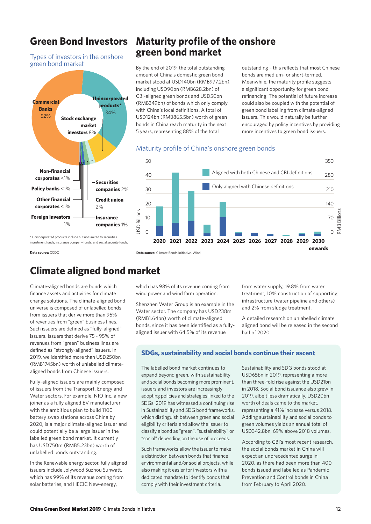### **Green Bond Investors**

Types of investors in the onshore green bond market



### **Maturity profile of the onshore green bond market**

By the end of 2019, the total outstanding amount of China's domestic green bond market stood at USD140bn (RMB977.2bn), including USD90bn (RMB628.2bn) of CBI-aligned green bonds and USD50bn (RMB349bn) of bonds which only comply with China's local definitions. A total of USD124bn (RMB865.5bn) worth of green bonds in China reach maturity in the next 5 years, representing 88% of the total

outstanding – this reflects that most Chinese bonds are medium- or short-termed. Meanwhile, the maturity profile suggests a significant opportunity for green bond refinancing. The potential of future increase could also be coupled with the potential of green bond labelling from climate-aligned issuers. This would naturally be further encouraged by policy incentives by providing more incentives to green bond issuers.

#### Maturity profile of China's onshore green bonds



\* Unincorporated products include but not limited to securities investment funds, insurance company funds, and social security funds.

**Data source:** CCDC **Data source:** Climate Bonds Initiative, Wind

### **Climate aligned bond market**

Climate-aligned bonds are bonds which finance assets and activities for climate change solutions. The climate-aligned bond universe is composed of unlabelled bonds from issuers that derive more than 95% of revenues from "green" business lines. Such issuers are defined as "fully-aligned" issuers. Issuers that derive 75 - 95% of revenues from "green" business lines are defined as "strongly-aligned" issuers. In 2019, we identified more than USD250bn (RMB1745bn) worth of unlabelled climatealigned bonds from Chinese issuers.

Fully-aligned issuers are mainly composed of issuers from the Transport, Energy and Water sectors. For example, NIO Inc, a new joiner as a fully aligned EV manufacturer with the ambitious plan to build 1100 battery swap stations across China by 2020, is a major climate-aligned issuer and could potentially be a large issuer in the labelled green bond market. It currently has USD750m (RMB5.23bn) worth of unlabelled bonds outstanding.

In the Renewable energy sector, fully aligned issuers include Jolywood Suzhou Sunwatt, which has 99% of its revenue coming from solar batteries, and HECIC New-energy,

which has 98% of its revenue coming from wind power and wind farm operation.

Shenzhen Water Group is an example in the Water sector. The company has USD238m (RMB1.64bn) worth of climate-aligned bonds, since it has been identified as a fullyaligned issuer with 64.5% of its revenue

from water supply, 19.8% from water treatment, 10% construction of supporting infrastructure (water pipeline and others) and 2% from sludge treatment.

A detailed research on unlabelled climate aligned bond will be released in the second half of 2020.

#### **SDGs, sustainability and social bonds continue their ascent**

The labelled bond market continues to expand beyond green, with sustainability and social bonds becoming more prominent, issuers and investors are increasingly adopting policies and strategies linked to the SDGs. 2019 has witnessed a continuing rise in Sustainability and SDG bond frameworks, which distinguish between green and social eligibility criteria and allow the issuer to classify a bond as "green", "sustainability" or "social" depending on the use of proceeds.

Such frameworks allow the issuer to make a distinction between bonds that finance environmental and/or social projects, while also making it easier for investors with a dedicated mandate to identify bonds that comply with their investment criteria.

Sustainability and SDG bonds stood at USD65bn in 2019, representing a more than three-fold rise against the USD21bn in 2018. Social bond issuance also grew in 2019, albeit less dramatically. USD20bn worth of deals came to the market, representing a 41% increase versus 2018. Adding sustainability and social bonds to green volumes yields an annual total of USD342.8bn, 69% above 2018 volumes.

According to CBI's most recent research, the social bonds market in China will expect an unprecedented surge in 2020, as there had been more than 400 bonds issued and labelled as Pandemic Prevention and Control bonds in China from February to April 2020.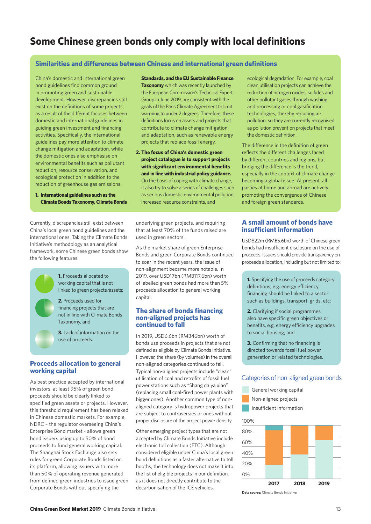### **Some Chinese green bonds only comply with local definitions**

#### **Similarities and differences between Chinese and international green definitions**

China's domestic and international green bond guidelines find common ground in promoting green and sustainable development. However, discrepancies still exist on the definitions of some projects, as a result of the different focuses between domestic and international guidelines in guiding green investment and financing activities. Specifically, the international guidelines pay more attention to climate change mitigation and adaptation, while the domestic ones also emphasise on environmental benefits such as pollutant reduction, resource conservation, and ecological protection in addition to the reduction of greenhouse gas emissions.

**1. International guidelines such as the Climate Bonds Taxonomy, Climate Bonds** 

Currently, discrepancies still exist between China's local green bond guidelines and the international ones. Taking the Climate Bonds Initiative's methodology as an analytical framework, some Chinese green bonds show the following features:



**1.** Proceeds allocated to working capital that is not linked to green projects/assets;

**2.** Proceeds used for financing projects that are not in line with Climate Bonds Taxonomy, and

**3.** Lack of information on the use of proceeds.

#### **Proceeds allocation to general working capital**

As best practice accepted by international investors, at least 95% of green bond proceeds should be clearly linked to specified green assets or projects. However, this threshold requirement has been relaxed in Chinese domestic markets. For example, NDRC – the regulator overseeing China's Enterprise Bond market - allows green bond issuers using up to 50% of bond proceeds to fund general working capital. The Shanghai Stock Exchange also sets rules for green Corporate Bonds listed on its platform, allowing issuers with more than 50% of operating revenue generated from defined green industries to issue green Corporate Bonds without specifying the

**Standards, and the EU Sustainable Finance Taxonomy** which was recently launched by the European Commission's Technical Expert Group in June 2019, are consistent with the goals of the Paris Climate Agreement to limit warming to under 2 degrees. Therefore, these definitions focus on assets and projects that contribute to climate change mitigation and adaptation, such as renewable energy projects that replace fossil energy.

**2. The focus of China's domestic green project catalogue is to support projects with significant environmental benefits and in line with industrial policy guidance.** On the basis of coping with climate change, it also try to solve a series of challenges such as serious domestic environmental pollution, increased resource constraints, and

underlying green projects, and requiring that at least 70% of the funds raised are used in green sectors<sup>1</sup>.

As the market share of green Enterprise Bonds and green Corporate Bonds continued to soar in the recent years, the issue of non-alignment became more notable. In 2019, over USD17bn (RMB117.6bn) worth of labelled green bonds had more than 5% proceeds allocation to general working capital.

#### **The share of bonds financing non-aligned projects has continued to fall**

In 2019, USD6.6bn (RMB46bn) worth of bonds use proceeds in projects that are not defined as eligible by Climate Bonds Initiative. However, the share (by volumes) in the overall non-aligned categories continued to fall. Typical non-aligned projects include "clean" utilisation of coal and retrofits of fossil fuel power stations such as "Shang da ya xiao" (replacing small coal-fired power plants with bigger ones). Another common type of nonaligned category is hydropower projects that are subject to controversies or ones without proper disclosure of the project power density.

Other emerging project types that are not accepted by Climate Bonds Initiative include electronic toll collection (ETC). Although considered eligible under China's local green bond definitions as a faster alternative to toll booths, the technology does not make it into the list of eligible projects in our definition, as it does not directly contribute to the decarbonisation of the ICE vehicles.

ecological degradation. For example, coal clean utilisation projects can achieve the reduction of nitrogen oxides, sulfides and other pollutant gases through washing and processing or coal gasification technologies, thereby reducing air pollution, so they are currently recognised as pollution prevention projects that meet the domestic definition.

The difference in the definition of green reflects the different challenges faced by different countries and regions, but bridging the difference is the trend, especially in the context of climate change becoming a global issue. At present, all parties at home and abroad are actively promoting the convergence of Chinese and foreign green standards.

#### **A small amount of bonds have insufficient information**

USD822m (RMB5.6bn) worth of Chinese green bonds had insufficient disclosure on the use of proceeds. Issuers should provide transparency on proceeds allocation, including but not limited to:

**1.** Specifying the use of proceeds category definitions, e.g. energy efficiency financing should be linked to a sector such as buildings, transport, grids, etc;

**2.** Clarifying if social programmes also have specific green objectives or benefits, e.g. energy efficiency upgrades to social housing; and

**3.** Confirming that no financing is directed towards fossil fuel power generation or related technologies.

#### Categories of non-aligned green bonds

- General working capital
- Non-aligned projects
- Insufficient information

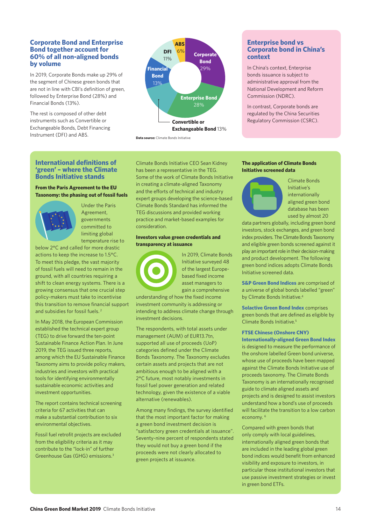#### **Corporate Bond and Enterprise Bond together account for 60% of all non-aligned bonds by volume**

In 2019, Corporate Bonds make up 29% of the segment of Chinese green bonds that are not in line with CBI's definition of green, followed by Enterprise Bond (28%) and Financial Bonds (13%).

The rest is composed of other debt instruments such as Convertible or Exchangeable Bonds, Debt Financing Instrument (DFI) and ABS.



**Data source:** Climate Bonds Initiative

#### **International definitions of 'green' – where the Climate Bonds Initiative stands**

#### **From the Paris Agreement to the EU Taxonomy: the phasing out of fossil fuels**



Under the Paris Agreement, governments committed to limiting global temperature rise to

below 2°C and called for more drastic actions to keep the increase to 1.5°C. To meet this pledge, the vast majority of fossil fuels will need to remain in the ground, with all countries requiring a shift to clean energy systems. There is a growing consensus that one crucial step policy-makers must take to incentivise this transition to remove financial support and subsidies for fossil fuels. 2

In May 2018, the European Commission established the technical expert group (TEG) to drive forward the ten-point Sustainable Finance Action Plan. In June 2019, the TEG issued three reports, among which the EU Sustainable Finance Taxonomy aims to provide policy makers, industries and investors with practical tools for identifying environmentally sustainable economic activities and investment opportunities.

The report contains technical screening criteria for 67 activities that can make a substantial contribution to six environmental objectives.

Fossil fuel retrofit projects are excluded from the eligibility criteria as it may contribute to the "lock-in" of further Greenhouse Gas (GHG) emissions.3

Climate Bonds Initiative CEO Sean Kidney has been a representative in the TEG. Some of the work of Climate Bonds Initiative in creating a climate-aligned Taxonomy and the efforts of technical and industry expert groups developing the science-based Climate Bonds Standard has informed the TEG discussions and provided working practice and market-based examples for consideration.

#### **Investors value green credentials and transparency at issuance**



In 2019, Climate Bonds Initiative surveyed 48 of the largest Europebased fixed income asset managers to gain a comprehensive

understanding of how the fixed income investment community is addressing or intending to address climate change through investment decisions.

The respondents, with total assets under management (AUM) of EUR13.7tn, supported all use of proceeds (UoP) categories defined under the Climate Bonds Taxonomy. The Taxonomy excludes certain assets and projects that are not ambitious enough to be aligned with a 2°C future, most notably investments in fossil fuel power generation and related technology, given the existence of a viable alternative (renewables).

Among many findings, the survey identified that the most important factor for making a green bond investment decision is "satisfactory green credentials at issuance". Seventy-nine percent of respondents stated they would not buy a green bond if the proceeds were not clearly allocated to green projects at issuance.

#### **Enterprise bond vs Corporate bond in China's context**

In China's context, Enterprise bonds issuance is subject to administrative approval from the National Development and Reform Commission (NDRC).

In contrast, Corporate bonds are regulated by the China Securities Regulatory Commission (CSRC).

#### **The application of Climate Bonds Initiative screened data**



Climate Bonds Initiative's internationally aligned green bond database has been used by almost 20

data partners globally, including green bond investors, stock exchanges, and green bond index providers. The Climate Bonds Taxonomy and eligible green bonds screened against it play an important role in their decision-making and product development. The following green bond indices adopts Climate Bonds Initiative screened data.

**S&P Green Bond Indices** are comprised of a universe of global bonds labelled "green" by Climate Bonds Initiative.4

**Solactive Green Bond Index** comprises green bonds that are defined as eligible by Climate Bonds Initiative.5

#### **FTSE Chinese (Onshore CNY)**

**Internationally-aligned Green Bond Index** is designed to measure the performance of the onshore labelled Green bond universe, whose use of proceeds have been mapped against the Climate Bonds Initiative use of proceeds taxonomy. The Climate Bonds Taxonomy is an internationally recognised guide to climate aligned assets and projects and is designed to assist investors understand how a bond's use of proceeds will facilitate the transition to a low carbon economy.<sup>6</sup>

Compared with green bonds that only comply with local guidelines, internationally aligned green bonds that are included in the leading global green bond indices would benefit from enhanced visibility and exposure to investors, in particular those institutional investors that use passive investment strategies or invest in green bond ETFs.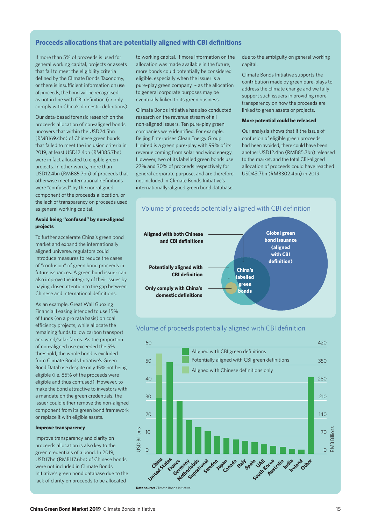#### **Proceeds allocations that are potentially aligned with CBI definitions**

If more than 5% of proceeds is used for general working capital, projects or assets that fail to meet the eligibility criteria defined by the Climate Bonds Taxonomy, or there is insufficient information on use of proceeds, the bond will be recognised as not in line with CBI definition (or only comply with China's domestic definitions).

Our data-based forensic research on the proceeds allocation of non-aligned bonds uncovers that within the USD24.5bn (RMB169.4bn) of Chinese green bonds that failed to meet the inclusion criteria in 2019, at least USD12.4bn (RMB85.7bn) were in fact allocated to eligible green projects. In other words, more than USD12.4bn (RMB85.7bn) of proceeds that otherwise meet international definitions were "confused" by the non-aligned component of the proceeds allocation, or the lack of transparency on proceeds used as general working capital.

#### **Avoid being "confused" by non-aligned projects**

To further accelerate China's green bond market and expand the internationally aligned universe, regulators could introduce measures to reduce the cases of "confusion" of green bond proceeds in future issuances. A green bond issuer can also improve the integrity of their issues by paying closer attention to the gap between Chinese and international definitions.

As an example, Great Wall Guoxing Financial Leasing intended to use 15% of funds (on a pro rata basis) on coal efficiency projects, while allocate the remaining funds to low carbon transport and wind/solar farms. As the proportion of non-aligned use exceeded the 5% threshold, the whole bond is excluded from Climate Bonds Initiative's Green Bond Database despite only 15% not being eligible (i.e. 85% of the proceeds were eligible and thus confused). However, to make the bond attractive to investors with a mandate on the green credentials, the issuer could either remove the non-aligned component from its green bond framework or replace it with eligible assets.

#### **Improve transparency**

Improve transparency and clarity on proceeds allocation is also key to the green credentials of a bond. In 2019, USD17bn (RMB117.6bn) of Chinese bonds were not included in Climate Bonds Initiative's green bond database due to the lack of clarity on proceeds to be allocated

to working capital. If more information on the allocation was made available in the future, more bonds could potentially be considered eligible, especially when the issuer is a pure-play green company – as the allocation to general corporate purposes may be eventually linked to its green business.

Climate Bonds Initiative has also conducted research on the revenue stream of all non-aligned issuers. Ten pure-play green companies were identified. For example, Beijing Enterprises Clean Energy Group Limited is a green pure-play with 99% of its revenue coming from solar and wind energy. However, two of its labelled green bonds use 27% and 30% of proceeds respectively for general corporate purpose, and are therefore not included in Climate Bonds Initiative's internationally-aligned green bond database

due to the ambiguity on general working capital.

Climate Bonds Initiative supports the contribution made by green pure-plays to address the climate change and we fully support such issuers in providing more transparency on how the proceeds are linked to green assets or projects.

#### **More potential could be released**

Our analysis shows that if the issue of confusion of eligible green proceeds had been avoided, there could have been another USD12.4bn (RMB85.7bn) released to the market, and the total CBI-aligned allocation of proceeds could have reached USD43.7bn (RMB302.4bn) in 2019.



#### Volume of proceeds potentially aligned with CBI definition



**Data source:** Climate Bonds Initiative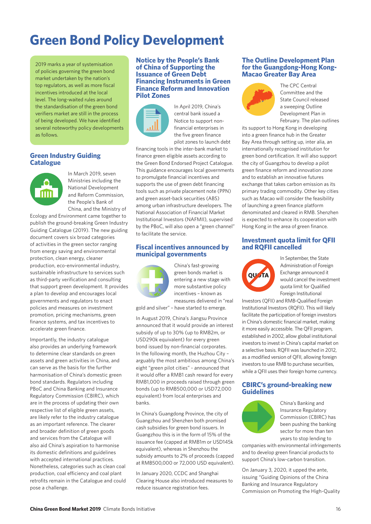# **Green Bond Policy Development**

2019 marks a year of systemisation of policies governing the green bond market undertaken by the nation's top regulators, as well as more fiscal incentives introduced at the local level. The long-waited rules around the standardisation of the green bond verifiers market are still in the process of being developed. We have identified several noteworthy policy developments as follows.

#### **Green Industry Guiding Catalogue**



In March 2019, seven Ministries including the National Development and Reform Commission, the People's Bank of China, and the Ministry of

Ecology and Environment came together to publish the ground-breaking Green Industry Guiding Catalogue (2019). The new guiding document covers six broad categories of activities in the green sector ranging from energy saving and environmental protection, clean energy, cleaner production, eco-environmental industry, sustainable infrastructure to services such as third-party verification and consulting that support green development. It provides a plan to develop and encourages local governments and regulators to enact policies and measures on investment promotion, pricing mechanisms, green finance systems, and tax incentives to accelerate green finance.

Importantly, the industry catalogue also provides an underlying framework to determine clear standards on green assets and green activities in China, and can serve as the basis for the further harmonisation of China's domestic green bond standards. Regulators including PBoC and China Banking and Insurance Regulatory Commission (CBIRC), which are in the process of updating their own respective list of eligible green assets, are likely refer to the industry catalogue as an important reference. The clearer and broader definition of green goods and services from the Catalogue will also aid China's aspiration to harmonise its domestic definitions and guidelines with accepted international practices. Nonetheless, categories such as clean coal production, coal efficiency and coal plant retrofits remain in the Catalogue and could pose a challenge.

#### **Notice by the People's Bank of China of Supporting the Issuance of Green Debt Financing Instruments in Green Finance Reform and Innovation Pilot Zones**



In April 2019, China's central bank issued a Notice to support nonfinancial enterprises in the five green finance pilot zones to launch debt

financing tools in the inter-bank market to finance green eligible assets according to the Green Bond Endorsed Project Catalogue. This guidance encourages local governments to promulgate financial incentives and supports the use of green debt financing tools such as private placement note (PPN) and green asset-back securities (ABS) among urban infrastructure developers. The National Association of Financial Market Institutional Investors (NAFMII), supervised by the PBoC, will also open a "green channel" to facilitate the service.

#### **Fiscal incentives announced by municipal governments**



China's fast-growing green bonds market is entering a new stage with more substantive policy incentives – known as measures delivered in "real China's fast-growing<br>
green bonds market is<br>
entering a new stage with<br>
more substantive policy<br>
incentives – known as<br>
measures delivered in "real Investors (QI

gold and silver" – have started to emerge.

In August 2019, China's Jiangsu Province announced that it would provide an interest subsidy of up to 30% (up to RMB2m, or USD290k equivalent) for every green bond issued by non-financial corporates. In the following month, the Huzhou City – arguably the most ambitious among China's eight "green pilot cities" - announced that it would offer a RMB1 cash reward for every RMB1,000 in proceeds raised through green bonds (up to RMB500,000 or USD72,000 equivalent) from local enterprises and banks.

In China's Guangdong Province, the city of Guangzhou and Shenzhen both promised cash subsidies for green bond issuers. In Guangzhou this is in the form of 15% of the issuance fee (capped at RMB1m or USD145k equivalent), whereas in Shenzhou the subsidy amounts to 2% of proceeds (capped at RMB500,000 or 72,000 USD equivalent).

In January 2020, CCDC and Shanghai Clearing House also introduced measures to reduce issuance registration fees.

#### **The Outline Development Plan for the Guangdong-Hong Kong-Macao Greater Bay Area**



The CPC Central Committee and the State Council released a sweeping Outline Development Plan in February. The plan outlines

its support to Hong Kong in developing into a green finance hub in the Greater Bay Area through setting up, inter alia, an internationally recognised institution for green bond certification. It will also support the city of Guangzhou to develop a pilot green finance reform and innovation zone and to establish an innovative futures exchange that takes carbon emission as its primary trading commodity. Other key cities such as Macao will consider the feasibility of launching a green finance platform denominated and cleared in RMB. Shenzhen is expected to enhance its cooperation with Hong Kong in the area of green finance.

#### **Investment quota limit for QFII and RQFII cancelled**



In September, the State Administration of Foreign Exchange announced it would cancel the investment quota limit for Qualified Foreign Institutional

Investors (QFII) and RMB-Qualified Foreign Institutional Investors (RQFII). This will likely facilitate the participation of foreign investors in China's domestic financial market, making it more easily accessible. The QFII program, established in 2002, allow global institutional investors to invest in China's capital market on a selective basis. RQFII was launched in 2012, as a modified version of QFII, allowing foreign investors to use RMB to purchase securities, while a QFII uses their foreign home currency.

#### **CBIRC's ground-breaking new Guidelines**



China's Banking and Insurance Regulatory Commission (CBIRC) has been pushing the banking sector for more than ten years to stop lending to

companies with environmental infringements and to develop green financial products to support China's low-carbon transition.

On January 3, 2020, it upped the ante, issuing "Guiding Opinions of the China Banking and Insurance Regulatory Commission on Promoting the High-Quality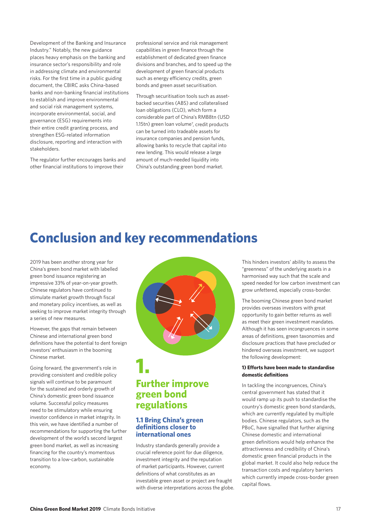Development of the Banking and Insurance Industry." Notably, the new guidance places heavy emphasis on the banking and insurance sector's responsibility and role in addressing climate and environmental risks. For the first time in a public guiding document, the CBIRC asks China-based banks and non-banking financial institutions to establish and improve environmental and social risk management systems, incorporate environmental, social, and governance (ESG) requirements into their entire credit granting process, and strengthen ESG-related information disclosure, reporting and interaction with stakeholders.

The regulator further encourages banks and other financial institutions to improve their

professional service and risk management capabilities in green finance through the establishment of dedicated green finance divisions and branches, and to speed up the development of green financial products such as energy efficiency credits, green bonds and green asset securitisation.

Through securitisation tools such as assetbacked securities (ABS) and collateralised loan obligations (CLO), which form a considerable part of China's RMB8tn (USD 1.15tn) green loan volume<sup>7</sup>, credit products can be turned into tradeable assets for insurance companies and pension funds, allowing banks to recycle that capital into new lending. This would release a large amount of much-needed liquidity into China's outstanding green bond market.

# **Conclusion and key recommendations**

2019 has been another strong year for China's green bond market with labelled green bond issuance registering an impressive 33% of year-on-year growth. Chinese regulators have continued to stimulate market growth through fiscal and monetary policy incentives, as well as seeking to improve market integrity through a series of new measures.

However, the gaps that remain between Chinese and international green bond definitions have the potential to dent foreign investors' enthusiasm in the booming Chinese market.

Going forward, the government's role in providing consistent and credible policy signals will continue to be paramount for the sustained and orderly growth of China's domestic green bond issuance volume. Successful policy measures need to be stimulatory while ensuring investor confidence in market integrity. In this vein, we have identified a number of recommendations for supporting the further development of the world's second largest green bond market, as well as increasing financing for the country's momentous transition to a low-carbon, sustainable economy.



### **Further improve green bond regulations**

#### **1.1 Bring China's green defi nitions closer to international ones**

Industry standards generally provide a crucial reference point for due diligence, investment integrity and the reputation of market participants. However, current definitions of what constitutes as an investable green asset or project are fraught with diverse interpretations across the globe.

This hinders investors' ability to assess the "greenness" of the underlying assets in a harmonised way such that the scale and speed needed for low carbon investment can grow unfettered, especially cross-border.

The booming Chinese green bond market provides overseas investors with great opportunity to gain better returns as well as meet their green investment mandates. Although it has seen incongruences in some areas of definitions, green taxonomies and disclosure practices that have precluded or hindered overseas investment, we support the following development:

#### **1) Efforts have been made to standardise domestic defi nitions**

In tackling the incongruences, China's central government has stated that it would ramp up its push to standardise the country's domestic green bond standards, which are currently regulated by multiple bodies. Chinese regulators, such as the PBoC, have signalled that further aligning Chinese domestic and international green definitions would help enhance the attractiveness and credibility of China's domestic green financial products in the global market. It could also help reduce the transaction costs and regulatory barriers which currently impede cross-border green capital flows.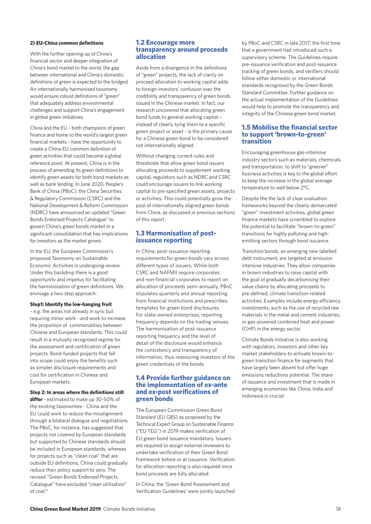#### **2) EU-China common definitions**

With the further opening up of China's financial sector and deeper integration of China's bond market to the world, the gap between international and China's domestic definitions of green is expected to the bridged. An internationally harmonised taxonomy would ensure robust definitions of "green" that adequately address environmental challenges and support China's engagement in global green initiatives.

China and the EU – both champions of green finance and home to the world's largest green financial markets – have the opportunity to create a China-EU common definition of green activities that could become a global reference point. At present, China is in the process of amending its green definitions to identify green assets for both bond markets as well as bank lending. In June 2020, People's Bank of China (PBoC), the China Securities & Regulatory Commission (CSRC) and the National Development & Reform Commission (NDRC) have announced an updated "Green Bonds Endorsed Projects Catalogue" to govern China's green bonds market in a significant consolidation that has implications for investors as the market grows.

In the EU, the European Commission's proposed Taxonomy on Sustainable Economic Activities is undergoing review. Under this backdrop there is a good opportunity and impetus for facilitating the harmonisation of green definitions. We envisage a two-step approach:

#### **Step1: Identify the low-hanging fruit**

– e.g. the areas not already in sync but requiring minor work - and work to increase the proportion of commonalities between Chinese and European standards. This could result in a mutually recognised regime for the assessment and certification of green projects. Bond-funded projects that fall into scope could enjoy the benefits such as simpler disclosure requirements and cost for certification in Chinese and European markets.

#### **Step 2: In areas where the definitions still**

**differ** - estimated to make up 30-50% of the existing taxonomies - China and the EU could work to reduce the misalignment through a bilateral dialogue and negotiations. The PBoC, for instance, has suggested that projects not covered by European standards but supported by Chinese standards should be included in European standards; whereas for projects such as "clean coal" that are outside EU definitions, China could gradually reduce their policy support to zero. The revised "Green Bonds Endorsed Projects Catalogue" have excluded "clean utilisation" of coal.<sup>8</sup>

#### **1.2 Encourage more transparency around proceeds allocation**

Aside from a divergence in the definitions of "green" projects, the lack of clarity on proceed allocation to working capital adds to foreign investors' confusion over the credibility and transparency of green bonds issued in the Chinese market. In fact, our research uncovered that allocating green bond funds to general working capital – instead of clearly tying them to a specific green project or asset - is the primary cause for a Chinese green bond to be considered not internationally aligned.

Without changing current rules and thresholds that allow green bond issuers allocating proceeds to supplement working capital, regulators such as NDRC and CSRC could encourage issuers to link working capital to pre-specified green assets, projects or activities. This could potentially grow the pool of internationally aligned green bonds from China, as discussed in previous sections of this report.

#### **1.3 Harmonisation of postissuance reporting**

In China, post-issuance reporting requirements for green bonds vary across different types of issuers. While both CSRC and NAFMII require corporates and non-financial corporates to report on allocation of proceeds semi-annually, PBoC stipulates quarterly and annual reporting from financial institutions and prescribes templates for green bond disclosures. For state-owned enterprises, reporting frequency depends on the trading venues. The harmonisation of post-issuance reporting frequency and the level of detail of the disclosure would enhance the consistency and transparency of information, thus reassuring investors of the green credentials of the bonds.

#### **1.4 Provide further guidance on the implementation of ex-ante and ex-post verifications of green bonds**

The European Commission Green Bond Standard (EU GBS) as proposed by the Technical Expert Group on Sustainable Finance ("EU TEG") in 2019 makes verification of EU green bond issuance mandatory. Issuers are required to assign external reviewers to undertake verification of their Green Bond Framework before or at issuance. Verification for allocation reporting is also required once bond proceeds are fully allocated.

In China, the 'Green Bond Assessment and Verification Guidelines' were jointly launched by PBoC and CSRC in late 2017; the first time that a government had introduced such a supervisory scheme. The Guidelines require pre-issuance verification and post-issuance tracking of green bonds, and verifiers should follow either domestic or international standards recognised by the Green Bonds Standard Committee. Further guidance on the actual implementation of the Guidelines would help to promote the transparency and integrity of the Chinese green bond market.

#### **1.5 Mobilise the financial sector to support 'brown-to-green' transition**

Encouraging greenhouse gas-intensive industry sectors such as materials, chemicals and transportation, to shift to "greener" business activities is key to the global effort to keep the increase in the global average temperature to well below 2°C.

Despite the the lack of clear evaluation frameworks beyond the clearly demarcated "green" investment activities, global green finance markets have scrambled to explore the potential to facilitate "brown-to-green" transitions for highly polluting and highemitting sectors through bond issuance.

Transition bonds, an emerging new labelled debt instrument, are targeted at emission intensive industries. They allow companies in brown industries to raise capital with the goal of gradually decarbonising their value chains by allocating proceeds to pre-defined, climate transition-related activities. Examples include energy efficiency investments, such as the use of recycled raw materials in the metal and cement industries, or gas-powered combined heat and power (CHP) in the energy sector.

Climate Bonds Initiative is also working with regulators, investors and other key market stakeholders to activate brown-togreen transition finance for segments that have largely been absent but offer huge emissions reductions potential. The share of issuance and investment that is made in emerging economies like China, India and Indonesia is crucial.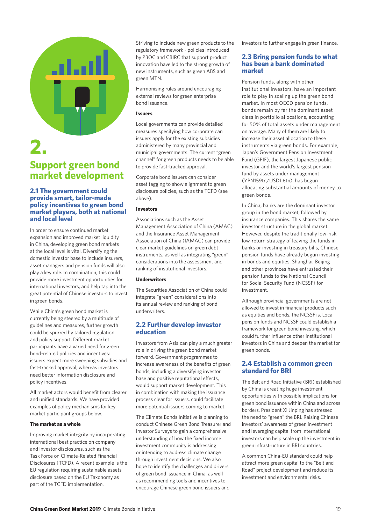

### **2. Support green bond market development**

#### **2.1 The government could provide smart, tailor-made policy incentives to green bond market players, both at national and local level**

In order to ensure continued market expansion and improved market liquidity in China, developing green bond markets at the local level is vital. Diversifying the domestic investor base to include insurers, asset managers and pension funds will also play a key role. In combination, this could provide more investment opportunities for international investors, and help tap into the great potential of Chinese investors to invest in green bonds.

While China's green bond market is currently being steered by a multitude of guidelines and measures, further growth could be spurred by tailored regulation and policy support. Different market participants have a varied need for green bond-related policies and incentives: issuers expect more sweeping subsidies and fast-tracked approval, whereas investors need better information disclosure and policy incentives.

All market actors would benefit from clearer and unified standards. We have provided examples of policy mechanisms for key market participant groups below.

#### **The market as a whole**

Improving market integrity by incorporating international best practice on company and investor disclosures, such as the Task Force on Climate-Related Financial Disclosures (TCFD). A recent example is the EU regulation requiring sustainable assets disclosure based on the EU Taxonomy as part of the TCFD implementation.

Striving to include new green products to the regulatory framework - policies introduced by PBOC and CBIRC that support product innovation have led to the strong growth of new instruments, such as green ABS and green MTN.

Harmonising rules around encouraging external reviews for green enterprise bond issuance.

#### **Issuers**

Local governments can provide detailed measures specifying how corporate can issuers apply for the existing subsidies administered by many provincial and municipal governments. The current "green channel" for green products needs to be able to provide fast-tracked approval.

Corporate bond issuers can consider asset tagging to show alignment to green disclosure policies, such as the TCFD (see above).

#### **Investors**

Associations such as the Asset Management Association of China (AMAC) and the Insurance Asset Management Association of China (IAMAC) can provide clear market guidelines on green debt instruments, as well as integrating "green" considerations into the assessment and ranking of institutional investors.

#### **Underwriters**

The Securities Association of China could integrate "green" considerations into its annual review and ranking of bond underwriters.

#### **2.2 Further develop investor education**

Investors from Asia can play a much greater role in driving the green bond market forward. Government programmes to increase awareness of the benefits of green bonds, including a diversifying investor base and positive reputational effects, would support market development. This in combination with making the issuance process clear for issuers, could facilitate more potential issuers coming to market.

The Climate Bonds Initiative is planning to conduct Chinese Green Bond Treasurer and Investor Surveys to gain a comprehensive understanding of how the fixed income investment community is addressing or intending to address climate change through investment decisions. We also hope to identify the challenges and drivers of green bond issuance in China, as well as recommending tools and incentives to encourage Chinese green bond issuers and

investors to further engage in green finance.

#### **2.3 Bring pension funds to what has been a bank dominated market**

Pension funds, along with other institutional investors, have an important role to play in scaling up the green bond market. In most OECD pension funds, bonds remain by far the dominant asset class in portfolio allocations, accounting for 50% of total assets under management on average. Many of them are likely to increase their asset allocation to these instruments via green bonds. For example, Japan's Government Pension Investment Fund (GPIF), the largest Japanese public investor and the world's largest pension fund by assets under management (YPN159tn/USD1.6tn), has begun allocating substantial amounts of money to green bonds.

In China, banks are the dominant investor group in the bond market, followed by insurance companies. This shares the same investor structure in the global market. However, despite the traditionally low-risk, low-return strategy of leaving the funds in banks or investing in treasury bills, Chinese pension funds have already begun investing in bonds and equities. Shanghai, Beijing and other provinces have entrusted their pension funds to the National Council for Social Security Fund (NCSSF) for investment.

Although provincial governments are not allowed to invest in financial products such as equities and bonds, the NCSSF is. Local pension funds and NCSSF could establish a framework for green bond investing, which could further influence other institutional investors in China and deepen the market for green bonds.

#### **2.4 Establish a common green standard for BRI**

The Belt and Road Initiative (BRI) established by China is creating huge investment opportunities with possible implications for green bond issuance within China and across borders. President Xi Jinping has stressed the need to "green" the BRI. Raising Chinese investors' awareness of green investment and leveraging capital from international investors can help scale up the investment in green infrastructure in BRI countries.

A common China-EU standard could help attract more green capital to the "Belt and Road" project development and reduce its investment and environmental risks.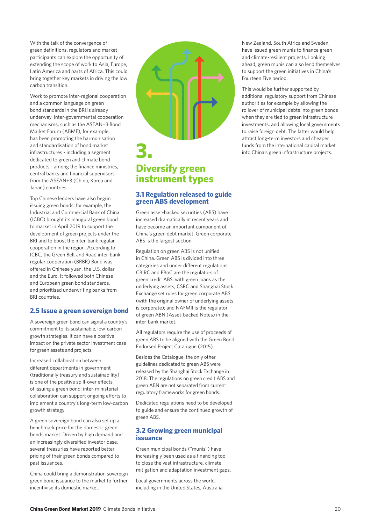With the talk of the convergence of green definitions, regulators and market participants can explore the opportunity of extending the scope of work to Asia, Europe, Latin America and parts of Africa. This could bring together key markets in driving the low carbon transition.

Work to promote inter-regional cooperation and a common language on green bond standards in the BRI is already underway. Inter-governmental cooperation mechanisms, such as the ASEAN+3 Bond Market Forum (ABMF), for example, has been promoting the harmonisation and standardisation of bond market infrastructures - including a segment dedicated to green and climate bond products - among the finance ministries, central banks and financial supervisors from the ASEAN+3 (China, Korea and Japan) countries.

Top Chinese lenders have also begun issuing green bonds: for example, the Industrial and Commercial Bank of China (ICBC) brought its inaugural green bond to market in April 2019 to support the development of green projects under the BRI and to boost the inter-bank regular cooperation in the region. According to ICBC, the Green Belt and Road inter-bank regular cooperation (BRBR) Bond was offered in Chinese yuan, the U.S. dollar and the Euro. It followed both Chinese and European green bond standards, and prioritised underwriting banks from BRI countries.

#### **2.5 Issue a green sovereign bond**

A sovereign green bond can signal a country's commitment to its sustainable, low-carbon growth strategies. It can have a positive impact on the private sector investment case for green assets and projects.

Increased collaboration between different departments in government (traditionally treasury and sustainability) is one of the positive spill-over effects of issuing a green bond; inter-ministerial collaboration can support ongoing efforts to implement a country's long-term low-carbon growth strategy.

A green sovereign bond can also set up a benchmark price for the domestic green bonds market. Driven by high demand and an increasingly diversified investor base, several treasuries have reported better pricing of their green bonds compared to past issuances.

China could bring a demonstration sovereign green bond issuance to the market to further incentivise its domestic market.



### **Diversify green instrument types**

#### **3.1 Regulation released to guide green ABS development**

Green asset-backed securities (ABS) have increased dramatically in recent years and have become an important component of China's green debt market. Green corporate ABS is the largest section.

Regulation on green ABS is not unified in China. Green ABS is divided into three categories and under different regulations. CBIRC and PBoC are the regulators of green credit ABS, with green loans as the underlying assets; CSRC and Shanghai Stock Exchange set rules for green corporate ABS (with the original owner of underlying assets is corporate); and NAFMII is the regulator of green ABN (Asset-backed Notes) in the inter-bank market.

All regulators require the use of proceeds of green ABS to be aligned with the Green Bond Endorsed Project Catalogue (2015).

Besides the Catalogue, the only other guidelines dedicated to green ABS were released by the Shanghai Stock Exchange in 2018. The regulations on green credit ABS and green ABN are not separated from current regulatory frameworks for green bonds.

Dedicated regulations need to be developed to guide and ensure the continued growth of green ABS.

#### **3.2 Growing green municipal issuance**

Green municipal bonds ("munis") have increasingly been used as a financing tool to close the vast infrastructure, climate mitigation and adaptation investment gaps.

Local governments across the world, including in the United States, Australia, New Zealand, South Africa and Sweden, have issued green munis to finance green and climate-resilient projects. Looking ahead, green munis can also lend themselves to support the green initiatives in China's Fourteen Five period.

This would be further supported by additional regulatory support from Chinese authorities for example by allowing the rollover of municipal debts into green bonds when they are tied to green infrastructure investments, and allowing local governments to raise foreign debt. The latter would help attract long-term investors and cheaper funds from the international capital market into China's green infrastructure projects.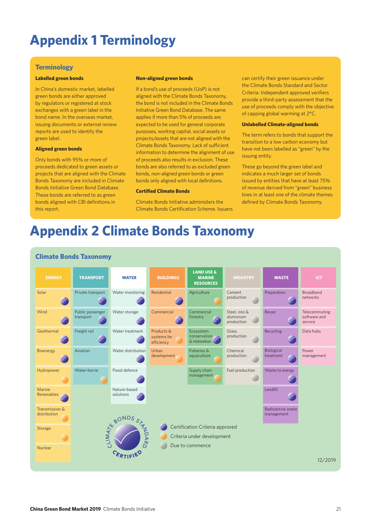# **Appendix 1 Terminology**

#### **Terminology**

#### **Labelled green bonds**

In China's domestic market, labelled green bonds are either approved by regulators or registered at stock exchanges with a green label in the bond name. In the overseas market, issuing documents or external review reports are used to identify the green label.

#### **Aligned green bonds**

Only bonds with 95% or more of proceeds dedicated to green assets or projects that are aligned with the Climate Bonds Taxonomy are included in Climate Bonds Initiative Green Bond Database. These bonds are referred to as green bonds aligned with CBI definitions in this report.

#### **Non-aligned green bonds**

If a bond's use of proceeds (UoP) is not aligned with the Climate Bonds Taxonomy, the bond is not included in the Climate Bonds Initiative Green Bond Database. The same applies if more than 5% of proceeds are expected to be used for general corporate purposes, working capital, social assets or projects/assets that are not aligned with the Climate Bonds Taxonomy. Lack of sufficient information to determine the alignment of use of proceeds also results in exclusion. These bonds are also referred to as excluded green bonds, non-aligned green bonds or green bonds only aligned with local definitions.

#### **Certified Climate Bonds**

Climate Bonds Initiative administers the Climate Bonds Certification Scheme. Issuers can certify their green issuance under the Climate Bonds Standard and Sector Criteria. Independent approved verifiers provide a third-party assessment that the use of proceeds comply with the objective of capping global warming at 2°C.

#### **Unlabelled Climate-aligned bonds**

The term refers to bonds that support the transition to a low carbon economy but have not been labelled as "green" by the issuing entity.

These go beyond the green label and indicates a much larger set of bonds issued by entities that have at least 75% of revenue derived from "green" business lines in at least one of the climate themes defined by Climate Bonds Taxonomy.

# **Appendix 2 Climate Bonds Taxonomy**



#### **Climate Bonds Taxonomy**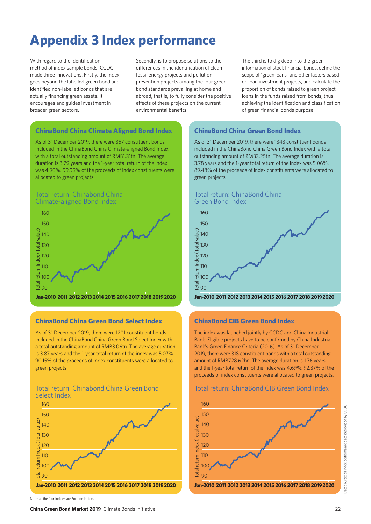# **Appendix 3 Index performance**

With regard to the identification method of index sample bonds, CCDC made three innovations. Firstly, the index goes beyond the labelled green bond and identified non-labelled bonds that are actually financing green assets. It encourages and guides investment in broader green sectors.

Secondly, is to propose solutions to the differences in the identification of clean fossil energy projects and pollution prevention projects among the four green bond standards prevailing at home and abroad, that is, to fully consider the positive effects of these projects on the current environmental benefits.

The third is to dig deep into the green information of stock financial bonds, define the scope of "green loans" and other factors based on loan investment projects, and calculate the proportion of bonds raised to green project loans in the funds raised from bonds, thus achieving the identification and classification of green financial bonds purpose.

#### **ChinaBond China Climate Aligned Bond Index**

As of 31 December 2019, there were 357 constituent bonds included in the ChinaBond China Climate-aligned Bond Index with a total outstanding amount of RMB1.31tn. The average duration is 3.79 years and the 1-year total return of the index was 4.90%. 99.99% of the proceeds of index constituents were allocated to green projects.

#### Total return: Chinabond China Climate-aligned Bond Index



**Jan-2010 2011 2012 2013 2014 2015 2016 2018 2019 2020 2017**

#### **ChinaBond China Green Bond Select Index**

As of 31 December 2019, there were 1201 constituent bonds included in the ChinaBond China Green Bond Select Index with a total outstanding amount of RMB3.06tn. The average duration is 3.87 years and the 1-year total return of the index was 5.07%. 90.15% of the proceeds of index constituents were allocated to green projects.

#### Total return: Chinabond China Green Bond Select Index



Note: all the four indices are Fortune Indices

### **ChinaBond China Green Bond Index**

As of 31 December 2019, there were 1343 constituent bonds included in the ChinaBond China Green Bond Index with a total outstanding amount of RMB3.25tn. The average duration is 3.78 years and the 1-year total return of the index was 5.06%. 89.48% of the proceeds of index constituents were allocated to green projects.



#### **ChinaBond CIB Green Bond Index**

The index was launched jointly by CCDC and China Industrial Bank. Eligible projects have to be confirmed by China Industrial Bank's Green Finance Criteria (2016). As of 31 December 2019, there were 318 constituent bonds with a total outstanding amount of RMB728.62bn. The average duration is 1.76 years and the 1-year total return of the index was 4.69%. 92.37% of the proceeds of index constituents were allocated to green projects.

#### Total return: ChinaBond CIB Green Bond Index

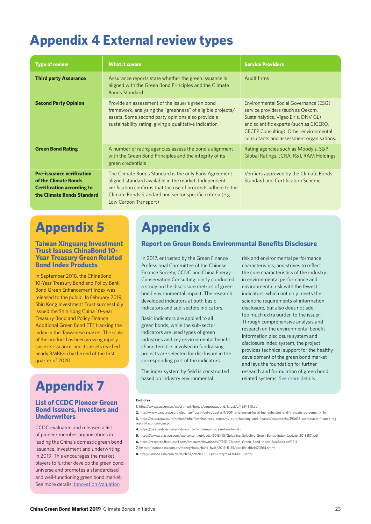# **Appendix 4 External review types**

| <b>Type of review</b>                                                                                                       | <b>What it covers</b>                                                                                                                                                                                                                                                 | <b>Service Providers</b>                                                                                                                                                                                                                             |
|-----------------------------------------------------------------------------------------------------------------------------|-----------------------------------------------------------------------------------------------------------------------------------------------------------------------------------------------------------------------------------------------------------------------|------------------------------------------------------------------------------------------------------------------------------------------------------------------------------------------------------------------------------------------------------|
| <b>Third party Assurance</b>                                                                                                | Assurance reports state whether the green issuance is<br>aligned with the Green Bond Principles and the Climate<br><b>Bonds Standard</b>                                                                                                                              | Audit firms                                                                                                                                                                                                                                          |
| <b>Second Party Opinion</b>                                                                                                 | Provide an assessment of the issuer's green bond<br>framework, analysing the "greenness" of eligible projects/<br>assets. Some second party opinions also provide a<br>sustainability rating, giving a qualitative indication                                         | Environmental Social Governance (ESG)<br>service providers (such as Oekom,<br>Sustainalytics, Vigeo Eiris, DNV GL)<br>and scientific experts (such as CICERO,<br>CECEP Consulting). Other environmental<br>consultants and assessment organisations. |
| <b>Green Bond Rating</b>                                                                                                    | A number of rating agencies assess the bond's alignment<br>with the Green Bond Principles and the integrity of its<br>green credentials                                                                                                                               | Rating agencies such as Moody's, S&P<br>Global Ratings, JCRA, R&I, RAM Holdings                                                                                                                                                                      |
| <b>Pre-issuance verification</b><br>of the Climate Bonds<br><b>Certification according to</b><br>the Climate Bonds Standard | The Climate Bonds Standard is the only Paris Agreement<br>aligned standard available in the market. Independent<br>verification confirms that the use of proceeds adhere to the<br>Climate Bonds Standard and sector specific criteria (e.g.<br>Low Carbon Transport) | Verifiers approved by the Climate Bonds<br>Standard and Certification Scheme                                                                                                                                                                         |

# **Appendix 5**

#### **Taiwan Xinguang Investment Trust Issues ChinaBond 10- Year Treasury Green Related Bond Index Products**

In September 2018, the ChinaBond 10-Year Treasury Bond and Policy Bank Bond Green Enhancement Index was released to the public. In February 2019, Shin Kong Investment Trust successfully issued the Shin Kong China 10-year Treasury Bond and Policy Finance Additional Green Bond ETF tracking the index in the Taiwanese market. The scale of the product has been growing rapidly since its issuance, and its assets reached nearly RMB6bn by the end of the first quarter of 2020.

# **Appendix 7**

#### **List of CCDC Pioneer Green Bond Issuers, Investors and Underwriters**

CCDC evaluated and released a list of pioneer member organisations in leading the China's domestic green bond issuance, investment and underwriting in 2019. This encourages the market players to further develop the green bond universe and promotes a standardised and well-functioning green bond market. See more details: Innovation-Valuation

# **Appendix 6**

#### **Report on Green Bonds Environmental Benefits Disclosure**

In 2017, entrusted by the Green Finance Professional Committee of the Chinese Finance Society, CCDC and China Energy Conservation Consulting jointly conducted a study on the disclosure metrics of green bond environmental impact. The research developed indicators at both basic indicators and sub-sectors indicators.

Basic indicators are applied to all green bonds, while the sub-sector indicators are used types of green industries and key environmental benefit characteristics involved in fundraising projects are selected for disclosure in the corresponding part of the indicators.

The index system by field is constructed based on industry environmental

risk and environmental performance characteristics, and strives to reflect the core characteristics of the industry in environmental performance and environmental risk with the fewest indicators, which not only meets the scientific requirements of information disclosure, but also does not add too much extra burden to the issuer. Through comprehensive analysis and research on the environmental benefit information disclosure system and disclosure index system, the project provides technical support for the healthy development of the green bond market and lays the foundation for further research and formulation of green bond related systems. See more details.

#### **Endnotes**

**1.** http://www.sse.com.cn/assortment/bonds/corporatebond/latest/c/4694310.pdf

- **4.** https://us.spindices.com/indices/fixed-income/sp-green-bond-index
- **5.** https://www.solactive.com/wp-content/uploads/2018/10/Guideline\_Solactive-Green-Bonds-Index\_Update\_20181101.pdf
- **6.** https://research.ftserussell.com/products/downloads/FTSE\_Chinese\_Green\_Bond\_Index\_RuleBook.pdf?511
- **7.** https://finance.sina.com.cn/money/bank/bank\_hydt/2019-11-25/doc-iihnzhfz1470164.shtml
- **8.** http://finance.sina.com.cn/zl/china/2020-05-30/zl-iirczymk4366008.shtml

**<sup>2.</sup>** http://www.caneurope.org/docman/fossil-fuel-subsidies-1/3011-briefing-on-fossil-fuel-subsidies-and-the-paris-agreement/file **3.** https://ec.europa.eu/info/sites/info/files/business\_economy\_euro/banking\_and\_finance/documents/190618-sustainable-finance-tegreport-taxonomy\_en.pdf